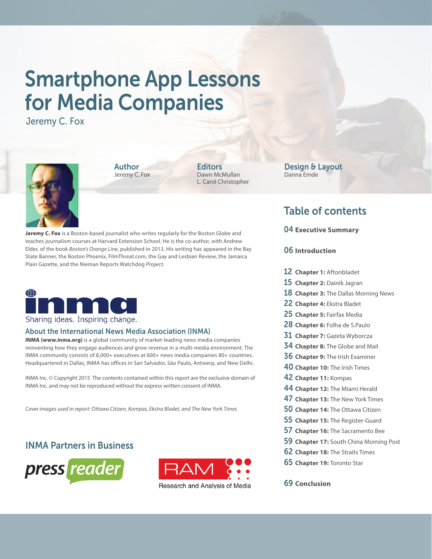# Smartphone App Lessons for Media Companies

Jeremy C. Fox



Author Jeremy C. Fox **Editors** Dawn McMullan L. Carol Christopher

**Jeremy C. Fox** is a Boston-based journalist who writes regularly for the Boston Globe and teaches journalism courses at Harvard Extension School. He is the co-author, with Andrew Elder, of the book *Boston's Orange Line*, published in 2013. His writing has appeared in the Bay State Banner, the Boston Phoenix, FilmThreat.com, the Gay and Lesbian Review, the Jamaica Plain Gazette, and the Nieman Reports Watchdog Project.



### Sharing ideas. Inspiring change.

#### About the International News Media Association (INMA)

**INMA (www.inma.org)** is a global community of market-leading news media companies reinventing how they engage audiences and grow revenue in a multi-media environment. The INMA community consists of 8,000+ executives at 600+ news media companies 80+ countries. Headquartered in Dallas, INMA has offices in San Salvador, São Paulo, Antwerp, and New Delhi.

INMA Inc. © Copyright 2015 The contents contained within this report are the exclusive domain of INMA Inc. and may not be reproduced without the express written consent of INMA.

*Cover images used in report: Ottawa Citizen, Kompas, Ekstra Bladet, and The New York Times*

## INMA Partners in Business





Design & Layout Danna Emde

## Table of contents

04 **Executive Summary**

#### 06 **Introduction**

- 12 **Chapter 1:** Aftonbladet
- 15 **Chapter 2:** Dainik Jagran
- 18 **Chapter 3:** The Dallas Morning News
- 22 **Chapter 4:** Ekstra Bladet
- 25 **Chapter 5:** Fairfax Media
- 28 **Chapter 6:** Folha de S.Paulo
- 31 **Chapter 7:** Gazeta Wyborcza
- 34 **Chapter 8:** The Globe and Mail
- 36 **Chapter 9:** The Irish Examiner
- 40 **Chapter 10:** The Irish Times
- 42 **Chapter 11:** Kompas
- 44 **Chapter 12:** The Miami Herald
- 47 **Chapter 13:** The New York Times
- 50 **Chapter 14:** The Ottawa Citizen
- 55 **Chapter 15:** The Register-Guard
- 57 **Chapter 16:** The Sacramento Bee
- 59 **Chapter 17:** South China Morning Post
- 62 **Chapter 18:** The Straits Times
- 65 **Chapter 19:** Toronto Star

69 **Conclusion**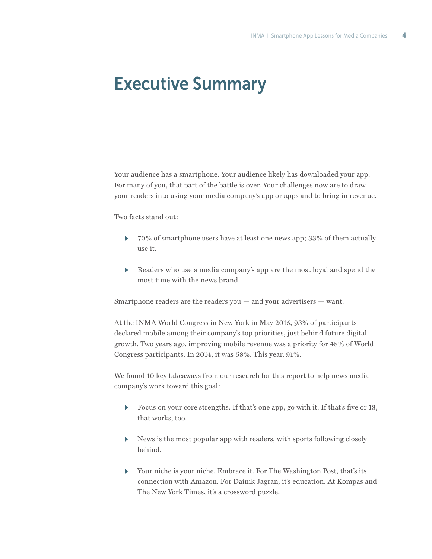## Executive Summary

Your audience has a smartphone. Your audience likely has downloaded your app. For many of you, that part of the battle is over. Your challenges now are to draw your readers into using your media company's app or apps and to bring in revenue.

Two facts stand out:

- $\triangleright$  70% of smartphone users have at least one news app; 33% of them actually use it.
- Readers who use a media company's app are the most loyal and spend the most time with the news brand.

Smartphone readers are the readers you  $-$  and your advertisers  $-$  want.

At the INMA World Congress in New York in May 2015, 93% of participants declared mobile among their company's top priorities, just behind future digital growth. Two years ago, improving mobile revenue was a priority for 48% of World Congress participants. In 2014, it was 68%. This year, 91%.

We found 10 key takeaways from our research for this report to help news media company's work toward this goal:

- Focus on your core strengths. If that's one app, go with it. If that's five or 13, that works, too.
- $\blacktriangleright$  News is the most popular app with readers, with sports following closely behind.
- <sup>u</sup> Your niche is your niche. Embrace it. For The Washington Post, that's its connection with Amazon. For Dainik Jagran, it's education. At Kompas and The New York Times, it's a crossword puzzle.